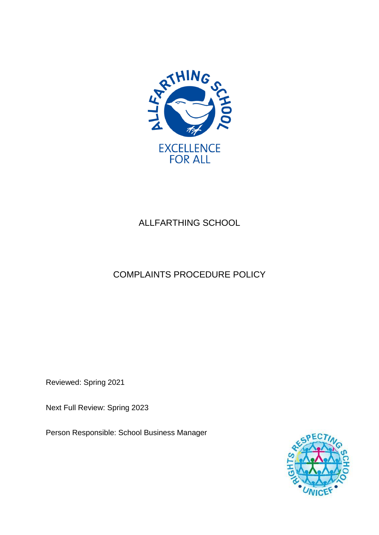

# ALLFARTHING SCHOOL

# COMPLAINTS PROCEDURE POLICY

Reviewed: Spring 2021

Next Full Review: Spring 2023

Person Responsible: School Business Manager

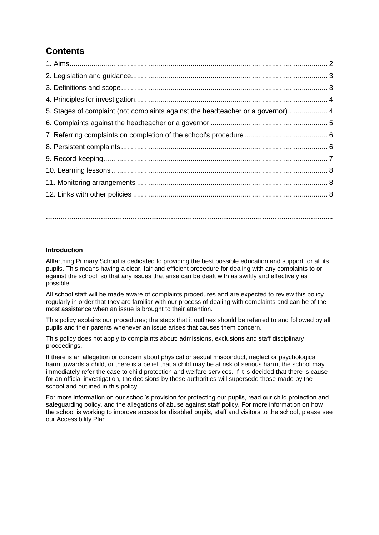## **Contents**

| 5. Stages of complaint (not complaints against the headteacher or a governor) 4 |  |
|---------------------------------------------------------------------------------|--|
|                                                                                 |  |
|                                                                                 |  |
|                                                                                 |  |
|                                                                                 |  |
|                                                                                 |  |
|                                                                                 |  |
|                                                                                 |  |
|                                                                                 |  |

#### **Introduction**

Allfarthing Primary School is dedicated to providing the best possible education and support for all its pupils. This means having a clear, fair and efficient procedure for dealing with any complaints to or against the school, so that any issues that arise can be dealt with as swiftly and effectively as possible.

**……………………………………………………………………………………………………………………....**

All school staff will be made aware of complaints procedures and are expected to review this policy regularly in order that they are familiar with our process of dealing with complaints and can be of the most assistance when an issue is brought to their attention.

This policy explains our procedures; the steps that it outlines should be referred to and followed by all pupils and their parents whenever an issue arises that causes them concern.

This policy does not apply to complaints about: admissions, exclusions and staff disciplinary proceedings.

If there is an allegation or concern about physical or sexual misconduct, neglect or psychological harm towards a child, or there is a belief that a child may be at risk of serious harm, the school may immediately refer the case to child protection and welfare services. If it is decided that there is cause for an official investigation, the decisions by these authorities will supersede those made by the school and outlined in this policy.

For more information on our school's provision for protecting our pupils, read our child protection and safeguarding policy, and the allegations of abuse against staff policy. For more information on how the school is working to improve access for disabled pupils, staff and visitors to the school, please see our Accessibility Plan.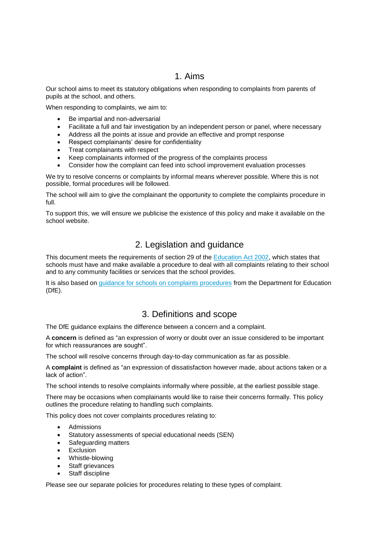### 1. Aims

Our school aims to meet its statutory obligations when responding to complaints from parents of pupils at the school, and others.

When responding to complaints, we aim to:

- Be impartial and non-adversarial
- Facilitate a full and fair investigation by an independent person or panel, where necessary
- Address all the points at issue and provide an effective and prompt response
- Respect complainants' desire for confidentiality
- Treat complainants with respect
- Keep complainants informed of the progress of the complaints process
- Consider how the complaint can feed into school improvement evaluation processes

We try to resolve concerns or complaints by informal means wherever possible. Where this is not possible, formal procedures will be followed.

The school will aim to give the complainant the opportunity to complete the complaints procedure in full.

To support this, we will ensure we publicise the existence of this policy and make it available on the school website.

### 2. Legislation and guidance

This document meets the requirements of section 29 of the **Education Act 2002**, which states that schools must have and make available a procedure to deal with all complaints relating to their school and to any community facilities or services that the school provides.

It is also based on [guidance for schools on complaints procedures](https://www.gov.uk/government/publications/school-complaints-procedures) from the Department for Education (DfE).

### 3. Definitions and scope

The DfE guidance explains the difference between a concern and a complaint.

A **concern** is defined as "an expression of worry or doubt over an issue considered to be important for which reassurances are sought".

The school will resolve concerns through day-to-day communication as far as possible.

A **complaint** is defined as "an expression of dissatisfaction however made, about actions taken or a lack of action".

The school intends to resolve complaints informally where possible, at the earliest possible stage.

There may be occasions when complainants would like to raise their concerns formally. This policy outlines the procedure relating to handling such complaints.

This policy does not cover complaints procedures relating to:

- Admissions
- Statutory assessments of special educational needs (SEN)
- Safeguarding matters
- Exclusion
- Whistle-blowing
- Staff grievances
- Staff discipline

Please see our separate policies for procedures relating to these types of complaint.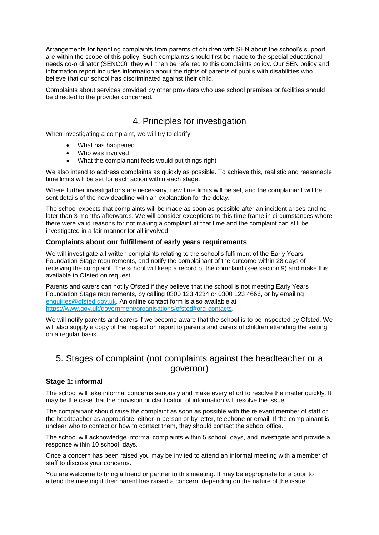Arrangements for handling complaints from parents of children with SEN about the school's support are within the scope of this policy. Such complaints should first be made to the special educational needs co-ordinator (SENCO) they will then be referred to this complaints policy. Our SEN policy and information report includes information about the rights of parents of pupils with disabilities who believe that our school has discriminated against their child.

Complaints about services provided by other providers who use school premises or facilities should be directed to the provider concerned.

### 4. Principles for investigation

When investigating a complaint, we will try to clarify:

- What has happened
- Who was involved
- What the complainant feels would put things right

We also intend to address complaints as quickly as possible. To achieve this, realistic and reasonable time limits will be set for each action within each stage.

Where further investigations are necessary, new time limits will be set, and the complainant will be sent details of the new deadline with an explanation for the delay.

The school expects that complaints will be made as soon as possible after an incident arises and no later than 3 months afterwards. We will consider exceptions to this time frame in circumstances where there were valid reasons for not making a complaint at that time and the complaint can still be investigated in a fair manner for all involved.

#### **Complaints about our fulfillment of early years requirements**

We will investigate all written complaints relating to the school's fulfilment of the Early Years Foundation Stage requirements, and notify the complainant of the outcome within 28 days of receiving the complaint. The school will keep a record of the complaint (see section 9) and make this available to Ofsted on request.

Parents and carers can notify Ofsted if they believe that the school is not meeting Early Years Foundation Stage requirements, by calling 0300 123 4234 or 0300 123 4666, or by emailing [enquiries@ofsted.gov.uk.](mailto:enquiries@ofsted.gov.uk) An online contact form is also available at [https://www.gov.uk/government/organisations/ofsted#org-contacts.](https://www.gov.uk/government/organisations/ofsted#org-contacts)

We will notify parents and carers if we become aware that the school is to be inspected by Ofsted. We will also supply a copy of the inspection report to parents and carers of children attending the setting on a regular basis.

### 5. Stages of complaint (not complaints against the headteacher or a governor)

#### **Stage 1: informal**

The school will take informal concerns seriously and make every effort to resolve the matter quickly. It may be the case that the provision or clarification of information will resolve the issue.

The complainant should raise the complaint as soon as possible with the relevant member of staff or the headteacher as appropriate, either in person or by letter, telephone or email. If the complainant is unclear who to contact or how to contact them, they should contact the school office.

The school will acknowledge informal complaints within 5 school days, and investigate and provide a response within 10 school days.

Once a concern has been raised you may be invited to attend an informal meeting with a member of staff to discuss your concerns.

You are welcome to bring a friend or partner to this meeting. It may be appropriate for a pupil to attend the meeting if their parent has raised a concern, depending on the nature of the issue.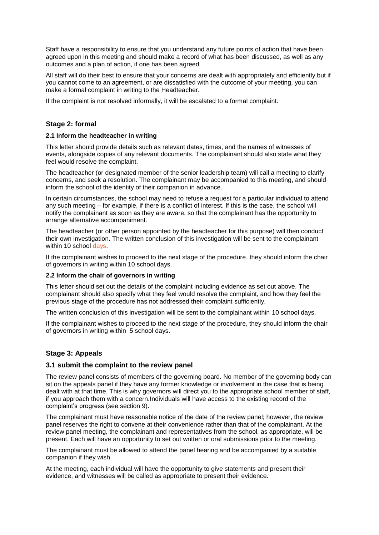Staff have a responsibility to ensure that you understand any future points of action that have been agreed upon in this meeting and should make a record of what has been discussed, as well as any outcomes and a plan of action, if one has been agreed.

All staff will do their best to ensure that your concerns are dealt with appropriately and efficiently but if you cannot come to an agreement, or are dissatisfied with the outcome of your meeting, you can make a formal complaint in writing to the Headteacher.

If the complaint is not resolved informally, it will be escalated to a formal complaint.

#### **Stage 2: formal**

#### **2.1 Inform the headteacher in writing**

This letter should provide details such as relevant dates, times, and the names of witnesses of events, alongside copies of any relevant documents. The complainant should also state what they feel would resolve the complaint.

The headteacher (or designated member of the senior leadership team) will call a meeting to clarify concerns, and seek a resolution. The complainant may be accompanied to this meeting, and should inform the school of the identity of their companion in advance.

In certain circumstances, the school may need to refuse a request for a particular individual to attend any such meeting – for example, if there is a conflict of interest. If this is the case, the school will notify the complainant as soon as they are aware, so that the complainant has the opportunity to arrange alternative accompaniment.

The headteacher (or other person appointed by the headteacher for this purpose) will then conduct their own investigation. The written conclusion of this investigation will be sent to the complainant within 10 school days.

If the complainant wishes to proceed to the next stage of the procedure, they should inform the chair of governors in writing within 10 school days.

#### **2.2 Inform the chair of governors in writing**

This letter should set out the details of the complaint including evidence as set out above. The complainant should also specify what they feel would resolve the complaint, and how they feel the previous stage of the procedure has not addressed their complaint sufficiently.

The written conclusion of this investigation will be sent to the complainant within 10 school days.

If the complainant wishes to proceed to the next stage of the procedure, they should inform the chair of governors in writing within 5 school days.

#### **Stage 3: Appeals**

#### **3.1 submit the complaint to the review panel**

The review panel consists of members of the governing board. No member of the governing body can sit on the appeals panel if they have any former knowledge or involvement in the case that is being dealt with at that time. This is why governors will direct you to the appropriate school member of staff, if you approach them with a concern.Individuals will have access to the existing record of the complaint's progress (see section 9).

The complainant must have reasonable notice of the date of the review panel; however, the review panel reserves the right to convene at their convenience rather than that of the complainant. At the review panel meeting, the complainant and representatives from the school, as appropriate, will be present. Each will have an opportunity to set out written or oral submissions prior to the meeting.

The complainant must be allowed to attend the panel hearing and be accompanied by a suitable companion if they wish.

At the meeting, each individual will have the opportunity to give statements and present their evidence, and witnesses will be called as appropriate to present their evidence.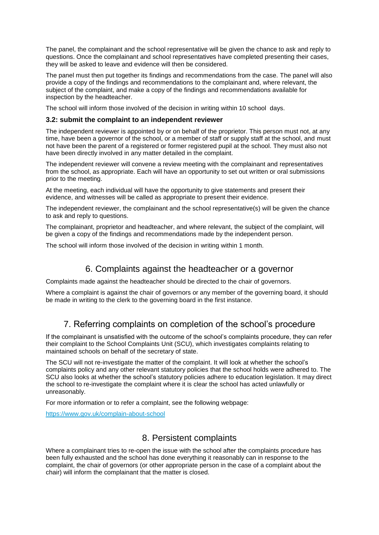The panel, the complainant and the school representative will be given the chance to ask and reply to questions. Once the complainant and school representatives have completed presenting their cases, they will be asked to leave and evidence will then be considered.

The panel must then put together its findings and recommendations from the case. The panel will also provide a copy of the findings and recommendations to the complainant and, where relevant, the subject of the complaint, and make a copy of the findings and recommendations available for inspection by the headteacher.

The school will inform those involved of the decision in writing within 10 school days.

#### **3.2: submit the complaint to an independent reviewer**

The independent reviewer is appointed by or on behalf of the proprietor. This person must not, at any time, have been a governor of the school, or a member of staff or supply staff at the school, and must not have been the parent of a registered or former registered pupil at the school. They must also not have been directly involved in any matter detailed in the complaint.

The independent reviewer will convene a review meeting with the complainant and representatives from the school, as appropriate. Each will have an opportunity to set out written or oral submissions prior to the meeting.

At the meeting, each individual will have the opportunity to give statements and present their evidence, and witnesses will be called as appropriate to present their evidence.

The independent reviewer, the complainant and the school representative(s) will be given the chance to ask and reply to questions.

The complainant, proprietor and headteacher, and where relevant, the subject of the complaint, will be given a copy of the findings and recommendations made by the independent person.

The school will inform those involved of the decision in writing within 1 month.

### 6. Complaints against the headteacher or a governor

Complaints made against the headteacher should be directed to the chair of governors.

Where a complaint is against the chair of governors or any member of the governing board, it should be made in writing to the clerk to the governing board in the first instance.

### 7. Referring complaints on completion of the school's procedure

If the complainant is unsatisfied with the outcome of the school's complaints procedure, they can refer their complaint to the School Complaints Unit (SCU), which investigates complaints relating to maintained schools on behalf of the secretary of state.

The SCU will not re-investigate the matter of the complaint. It will look at whether the school's complaints policy and any other relevant statutory policies that the school holds were adhered to. The SCU also looks at whether the school's statutory policies adhere to education legislation. It may direct the school to re-investigate the complaint where it is clear the school has acted unlawfully or unreasonably.

For more information or to refer a complaint, see the following webpage:

<https://www.gov.uk/complain-about-school>

### 8. Persistent complaints

Where a complainant tries to re-open the issue with the school after the complaints procedure has been fully exhausted and the school has done everything it reasonably can in response to the complaint, the chair of governors (or other appropriate person in the case of a complaint about the chair) will inform the complainant that the matter is closed.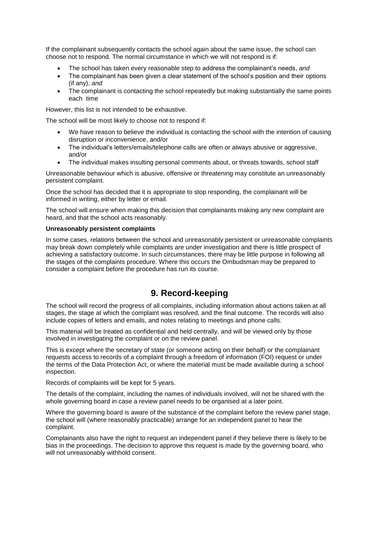If the complainant subsequently contacts the school again about the same issue, the school can choose not to respond. The normal circumstance in which we will not respond is if:

- The school has taken every reasonable step to address the complainant's needs, *and*
- The complainant has been given a clear statement of the school's position and their options (if any), *and*
- The complainant is contacting the school repeatedly but making substantially the same points each time

However, this list is not intended to be exhaustive.

The school will be most likely to choose not to respond if:

- We have reason to believe the individual is contacting the school with the intention of causing disruption or inconvenience, and/or
- The individual's letters/emails/telephone calls are often or always abusive or aggressive, and/or
- The individual makes insulting personal comments about, or threats towards, school staff

Unreasonable behaviour which is abusive, offensive or threatening may constitute an unreasonably persistent complaint.

Once the school has decided that it is appropriate to stop responding, the complainant will be informed in writing, either by letter or email.

The school will ensure when making this decision that complainants making any new complaint are heard, and that the school acts reasonably.

#### **Unreasonably persistent complaints**

In some cases, relations between the school and unreasonably persistent or unreasonable complaints may break down completely while complaints are under investigation and there is little prospect of achieving a satisfactory outcome. In such circumstances, there may be little purpose in following all the stages of the complaints procedure. Where this occurs the Ombudsman may be prepared to consider a complaint before the procedure has run its course.

### **9. Record-keeping**

The school will record the progress of all complaints, including information about actions taken at all stages, the stage at which the complaint was resolved, and the final outcome. The records will also include copies of letters and emails, and notes relating to meetings and phone calls.

This material will be treated as confidential and held centrally, and will be viewed only by those involved in investigating the complaint or on the review panel.

This is except where the secretary of state (or someone acting on their behalf) or the complainant requests access to records of a complaint through a freedom of information (FOI) request or under the terms of the Data Protection Act, or where the material must be made available during a school inspection.

Records of complaints will be kept for 5 years.

The details of the complaint, including the names of individuals involved, will not be shared with the whole governing board in case a review panel needs to be organised at a later point.

Where the governing board is aware of the substance of the complaint before the review panel stage, the school will (where reasonably practicable) arrange for an independent panel to hear the complaint.

Complainants also have the right to request an independent panel if they believe there is likely to be bias in the proceedings. The decision to approve this request is made by the governing board, who will not unreasonably withhold consent.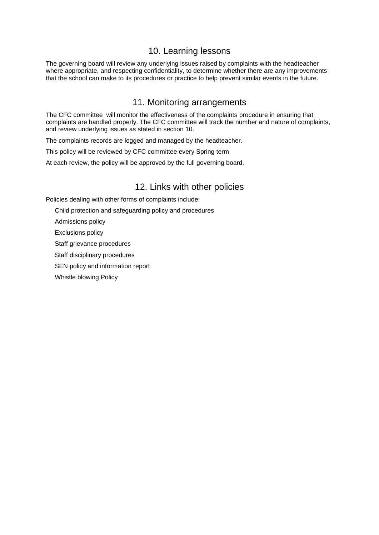### 10. Learning lessons

The governing board will review any underlying issues raised by complaints with the headteacher where appropriate, and respecting confidentiality, to determine whether there are any improvements that the school can make to its procedures or practice to help prevent similar events in the future.

#### 11. Monitoring arrangements

The CFC committee will monitor the effectiveness of the complaints procedure in ensuring that complaints are handled properly. The CFC committee will track the number and nature of complaints, and review underlying issues as stated in section 10.

The complaints records are logged and managed by the headteacher.

This policy will be reviewed by CFC committee every Spring term

At each review, the policy will be approved by the full governing board.

#### 12. Links with other policies

Policies dealing with other forms of complaints include:

Child protection and safeguarding policy and procedures

Admissions policy

Exclusions policy

Staff grievance procedures

Staff disciplinary procedures

SEN policy and information report

Whistle blowing Policy